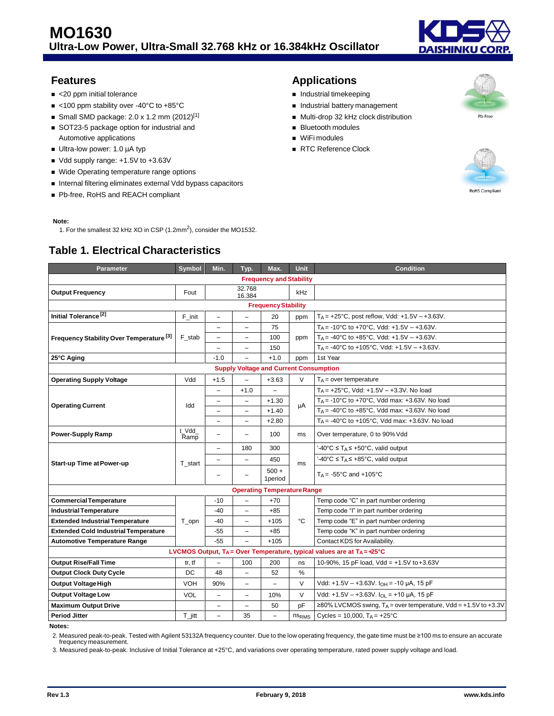

- <20 ppm initial tolerance and the state of the state of the last time state of the last time keeping
- <100 ppm stability over -40°C to +85°C **Industrial battery management**
- Small SMD package: 2.0 x 1.2 mm  $(2012)^{[1]}$  Multi-drop 32 kHz clock distribution
- SOT23-5 package option for industrial and <br>■ Bluetooth modules Automotive applications **WiFi modules WiFi modules**
- Ultra-low power: 1.0 µA typ **and the contract of the contract of the RTC** Reference Clock
- Vdd supply range: +1.5V to +3.63V
- Wide Operating temperature range options
- **Internal filtering eliminates external Vdd bypass capacitors**
- Pb-free, RoHS and REACH compliant

#### **Note:**

1. For the smallest 32 kHz XO in CSP  $(1.2 \text{mm}^2)$ , consider the MO1532.

## **Table 1. Electrical Characteristics**

## **Features Applications**

- 
- 
- 
- 
- 
- 



Pb-Free

| Parameter                                                                    | Symbol               | Min.                     | Typ.                     | Max.                     | <b>Unit</b>       | <b>Condition</b>                                                      |  |
|------------------------------------------------------------------------------|----------------------|--------------------------|--------------------------|--------------------------|-------------------|-----------------------------------------------------------------------|--|
| <b>Frequency and Stability</b>                                               |                      |                          |                          |                          |                   |                                                                       |  |
| <b>Output Frequency</b>                                                      | Fout                 |                          | 32.768<br>16.384         |                          | <b>kHz</b>        |                                                                       |  |
| <b>Frequency Stability</b>                                                   |                      |                          |                          |                          |                   |                                                                       |  |
| Initial Tolerance <sup>[2]</sup>                                             | F_init               | $\overline{\phantom{0}}$ | $\overline{\phantom{0}}$ | 20                       | ppm               | $T_A = +25^{\circ}C$ , post reflow, Vdd: $+1.5V - +3.63V$ .           |  |
|                                                                              | F stab               | Ξ.                       | $\overline{\phantom{0}}$ | 75                       |                   | T <sub>A</sub> = -10°C to +70°C, Vdd: +1.5V - +3.63V.                 |  |
| Frequency Stability Over Temperature <sup>[3]</sup>                          |                      | -                        | $\overline{\phantom{m}}$ | 100                      | ppm               | $T_A = -40^{\circ}$ C to $+85^{\circ}$ C, Vdd: $+1.5V - +3.63V$ .     |  |
|                                                                              |                      | $\overline{\phantom{0}}$ | $\overline{\phantom{0}}$ | 150                      |                   | $T_A = -40^{\circ}$ C to +105°C, Vdd: +1.5V - +3.63V.                 |  |
| 25°C Aging                                                                   |                      | $-1.0$                   | $\overline{\phantom{0}}$ | $+1.0$                   | ppm               | 1st Year                                                              |  |
| <b>Supply Voltage and Current Consumption</b>                                |                      |                          |                          |                          |                   |                                                                       |  |
| <b>Operating Supply Voltage</b>                                              | Vdd                  | $+1.5$                   | $\qquad \qquad -$        | $+3.63$                  | V                 | $T_A$ = over temperature                                              |  |
|                                                                              |                      | $\overline{\phantom{0}}$ | $+1.0$                   | $\overline{\phantom{0}}$ |                   | $T_A = +25^{\circ}$ C, Vdd: $+1.5V - +3.3V$ . No load                 |  |
| <b>Operating Current</b>                                                     |                      | $\overline{\phantom{0}}$ | $\overline{\phantom{0}}$ | $+1.30$                  |                   | TA = -10°C to +70°C, Vdd max: +3.63V. No load                         |  |
|                                                                              | Idd                  | Ξ.                       | $\overline{\phantom{0}}$ | $+1.40$                  | μA                | $T_A = -40^{\circ}$ C to +85°C, Vdd max: +3.63V. No load              |  |
|                                                                              |                      | $\overline{\phantom{0}}$ | $\overline{\phantom{0}}$ | $+2.80$                  |                   | $T_A = -40^{\circ}C$ to $+105^{\circ}C$ , Vdd max: $+3.63V$ . No load |  |
| <b>Power-Supply Ramp</b>                                                     | t Vdd<br>Ramp        | $\overline{a}$           | $\overline{\phantom{0}}$ | 100                      | ms                | Over temperature, 0 to 90% Vdd                                        |  |
|                                                                              | T_start              | $\overline{\phantom{0}}$ | 180                      | 300                      | ms                | '-40°C ≤ T <sub>A</sub> ≤ +50°C, valid output                         |  |
| <b>Start-up Time at Power-up</b>                                             |                      |                          | $\overline{\phantom{0}}$ | 450                      |                   | '-40°C ≤ T <sub>A</sub> ≤ +85°C, valid output                         |  |
|                                                                              |                      | $\overline{\phantom{0}}$ |                          | $500 +$<br>1period       |                   | $T_A = -55^{\circ}$ C and $+105^{\circ}$ C                            |  |
| <b>Operating Temperature Range</b>                                           |                      |                          |                          |                          |                   |                                                                       |  |
| <b>Commercial Temperature</b>                                                |                      | $-10$                    | $\overline{\phantom{0}}$ | $+70$                    |                   | Temp code "C" in part number ordering                                 |  |
| <b>Industrial Temperature</b>                                                |                      | $-40$                    | $\qquad \qquad -$        | $+85$                    | °C                | Temp code "I" in part number ordering                                 |  |
| <b>Extended Industrial Temperature</b>                                       | T_opn                | -40                      | $\qquad \qquad -$        | $+105$                   |                   | Temp code "E" in part number ordering                                 |  |
| <b>Extended Cold Industrial Temperature</b>                                  |                      | $-55$                    | $\overline{\phantom{0}}$ | $+85$                    |                   | Temp code "K" in part number ordering                                 |  |
| <b>Automotive Temperature Range</b>                                          |                      | $-55$                    | $\equiv$                 | $+105$                   |                   | Contact KDS for Availability.                                         |  |
| LVCMOS Output, $T_A$ = Over Temperature, typical values are at $T_A$ = +25°C |                      |                          |                          |                          |                   |                                                                       |  |
| <b>Output Rise/Fall Time</b>                                                 | tr, tf               | $\overline{\phantom{0}}$ | 100                      | 200                      | ns                | 10-90%, 15 pF load, Vdd = +1.5V to +3.63V                             |  |
| <b>Output Clock Duty Cycle</b>                                               | DC                   | 48                       | $\overline{\phantom{a}}$ | 52                       | $\%$              |                                                                       |  |
| <b>Output Voltage High</b>                                                   | <b>VOH</b>           | 90%                      | $\qquad \qquad -$        | $\overline{\phantom{0}}$ | $\vee$            | Vdd: +1.5V - +3.63V. $I_{OH}$ = -10 µA, 15 pF                         |  |
| <b>Output Voltage Low</b>                                                    | <b>VOL</b>           | -                        | $\overline{\phantom{0}}$ | 10%                      | $\vee$            | Vdd: +1.5V - +3.63V. $I_{OL}$ = +10 µA, 15 pF                         |  |
| <b>Maximum Output Drive</b>                                                  |                      | -                        | -                        | 50                       | pF                | ≥80% LVCMOS swing, $T_A$ = over temperature, Vdd = +1.5V to +3.3V     |  |
| <b>Period Jitter</b>                                                         | $T_{\parallel}$ jitt | $\overline{\phantom{0}}$ | 35                       | $\overline{\phantom{0}}$ | ns <sub>RMS</sub> | Cycles = 10,000, $T_A = +25$ °C                                       |  |
|                                                                              |                      |                          |                          |                          |                   |                                                                       |  |

**Notes:**

2. Measured peak-to-peak. Tested with Agilent 53132A frequency counter. Due to the low operating frequency, the gate time must be ≥100 ms to ensure an accurate frequency measurement.

3. Measured peak-to-peak. Inclusive of Initial Tolerance at +25°C, and variations over operating temperature, rated power supply voltage and load.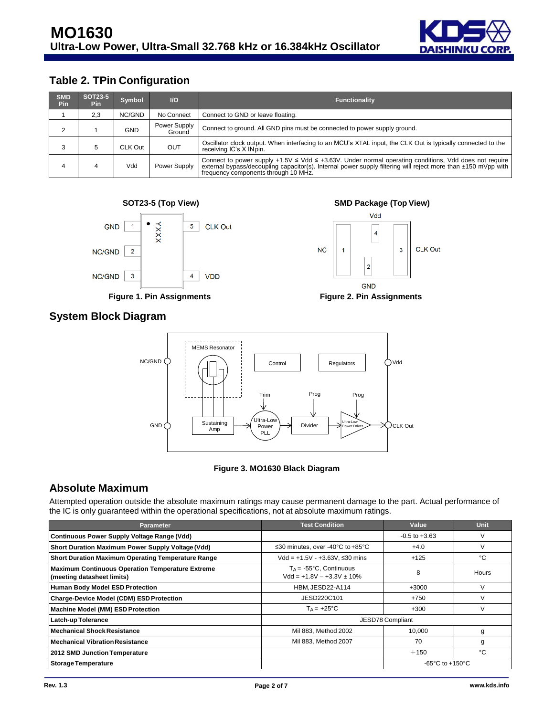

# **Table 2. TPin Configuration**

| <b>SMD</b><br><b>Pin</b> | <b>SOT23-5</b><br>Pin | Symbol  | $U$                    | <b>Functionality</b>                                                                                                                                                                                                                                                  |
|--------------------------|-----------------------|---------|------------------------|-----------------------------------------------------------------------------------------------------------------------------------------------------------------------------------------------------------------------------------------------------------------------|
|                          | 2,3                   | NC/GND  | No Connect             | Connect to GND or leave floating.                                                                                                                                                                                                                                     |
|                          |                       | GND     | Power Supply<br>Ground | Connect to ground. All GND pins must be connected to power supply ground.                                                                                                                                                                                             |
|                          | 5                     | CLK Out | OUT                    | Oscillator clock output. When interfacing to an MCU's XTAL input, the CLK Out is typically connected to the<br>receiving IC's X IN pin.                                                                                                                               |
|                          |                       | Vdd     | Power Supply           | Connect to power supply $+1.5V \le Vdd \le +3.63V$ . Under normal operating conditions, Vdd does not require<br>external bypass/decoupling capacitor(s). Internal power supply filtering will reject more than ±150 mVpp with<br>frequency components through 10 MHz. |





**Figure 1. Pin Assignments Figure 2. Pin Assignments**



**GND** 

## **System Block Diagram**



#### **Figure 3. MO1630 Black Diagram**

## **Absolute Maximum**

Attempted operation outside the absolute maximum ratings may cause permanent damage to the part. Actual performance of the IC is only guaranteed within the operational specifications, not at absolute maximum ratings.

| Parameter                                                                             | <b>Test Condition</b>                                               | Value                                 | <b>Unit</b>  |
|---------------------------------------------------------------------------------------|---------------------------------------------------------------------|---------------------------------------|--------------|
| Continuous Power Supply Voltage Range (Vdd)                                           |                                                                     | $-0.5$ to $+3.63$                     | V            |
| Short Duration Maximum Power Supply Voltage (Vdd)                                     | ≤30 minutes, over -40°C to +85°C                                    | $+4.0$                                |              |
| <b>Short Duration Maximum Operating Temperature Range</b>                             | $Vdd = +1.5V - +3.63V$ , ≤30 mins                                   | $+125$                                | °C           |
| <b>Maximum Continuous Operation Temperature Extreme</b><br>(meeting datasheet limits) | $T_A = -55^{\circ}C$ , Continuous<br>$Vdd = +1.8V - +3.3V \pm 10\%$ | 8                                     | <b>Hours</b> |
| <b>Human Body Model ESD Protection</b>                                                | HBM, JESD22-A114                                                    | $+3000$                               |              |
| <b>Charge-Device Model (CDM) ESD Protection</b>                                       | JESD220C101                                                         | $+750$                                |              |
| <b>Machine Model (MM) ESD Protection</b>                                              | $T_A = +25^{\circ}C$                                                | $+300$                                |              |
| Latch-up Tolerance                                                                    | JESD78 Compliant                                                    |                                       |              |
| <b>Mechanical Shock Resistance</b>                                                    | Mil 883. Method 2002                                                | 10.000                                | g            |
| <b>Mechanical Vibration Resistance</b>                                                | Mil 883, Method 2007                                                | 70                                    | g            |
| 2012 SMD Junction Temperature                                                         |                                                                     | $+150$                                | °C           |
| <b>Storage Temperature</b>                                                            |                                                                     | -65 $^{\circ}$ C to +150 $^{\circ}$ C |              |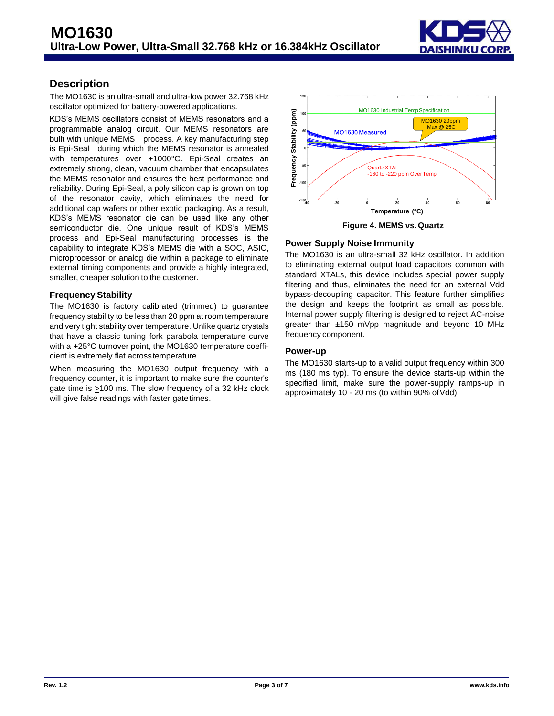

## **Description**

The MO1630 is an ultra-small and ultra-low power 32.768 kHz oscillator optimized for battery-powered applications.

KDS's MEMS oscillators consist of MEMS resonators and a programmable analog circuit. Our MEMS resonators are built with unique MEMS process. A key manufacturing step is Epi-Seal during which the MEMS resonator is annealed with temperatures over +1000°C. Epi-Seal creates an extremely strong, clean, vacuum chamber that encapsulates the MEMS resonator and ensures the best performance and reliability. During Epi-Seal, a poly silicon cap is grown on top of the resonator cavity, which eliminates the need for additional cap wafers or other exotic packaging. As a result, KDS's MEMS resonator die can be used like any other semiconductor die. One unique result of KDS's MEMS process and Epi-Seal manufacturing processes is the capability to integrate KDS's MEMS die with a SOC, ASIC, microprocessor or analog die within a package to eliminate external timing components and provide a highly integrated, smaller, cheaper solution to the customer.

## **Frequency Stability**

The MO1630 is factory calibrated (trimmed) to guarantee frequency stability to be less than 20 ppm at room temperature and very tight stability over temperature. Unlike quartz crystals that have a classic tuning fork parabola temperature curve with a +25°C turnover point, the MO1630 temperature coefficient is extremely flat acrosstemperature.

When measuring the MO1630 output frequency with a frequency counter, it is important to make sure the counter's gate time is  $\geq$ 100 ms. The slow frequency of a 32 kHz clock will give false readings with faster gatetimes.





### **Power Supply Noise Immunity**

The MO1630 is an ultra-small 32 kHz oscillator. In addition to eliminating external output load capacitors common with standard XTALs, this device includes special power supply filtering and thus, eliminates the need for an external Vdd bypass-decoupling capacitor. This feature further simplifies the design and keeps the footprint as small as possible. Internal power supply filtering is designed to reject AC-noise greater than ±150 mVpp magnitude and beyond 10 MHz frequency component.

#### **Power-up**

The MO1630 starts-up to a valid output frequency within 300 ms (180 ms typ). To ensure the device starts-up within the specified limit, make sure the power-supply ramps-up in approximately 10 - 20 ms (to within 90% ofVdd).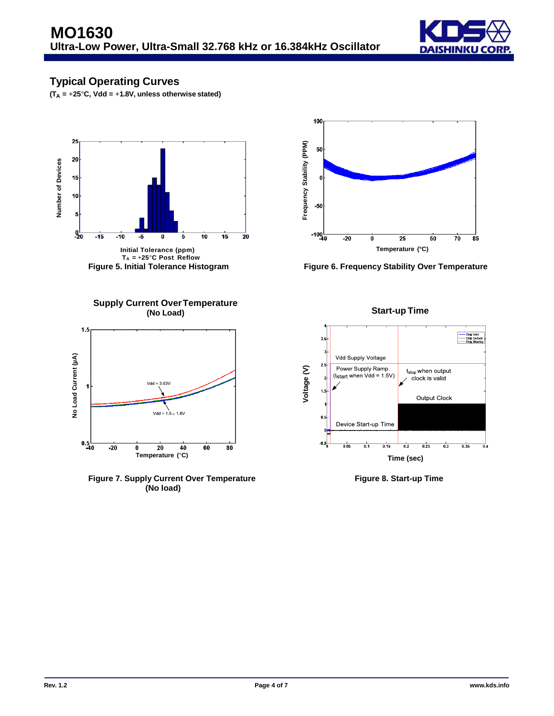

## **Typical Operating Curves**

**(TA =** +**25**°**C, Vdd =** +**1.8V, unless otherwise stated)**



**TA =** +**25**°**C Post Reflow**



**Figure 5. Initial Tolerance Histogram Figure 6. Frequency Stability Over Temperature**



**Figure 7. Supply Current Over Temperature Figure 8. Start-up Time (No load)**

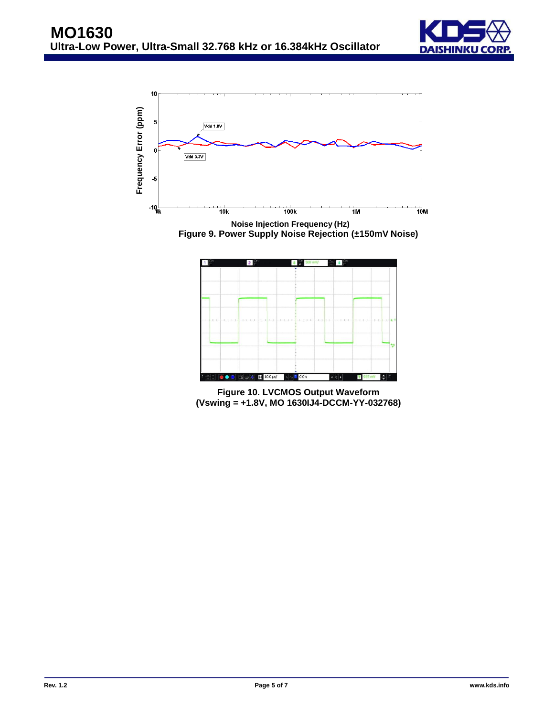



**Figure 9. Power Supply Noise Rejection (±150mV Noise)**



**Figure 10. LVCMOS Output Waveform (Vswing = +1.8V, MO 1630IJ4-DCCM-YY-032768)**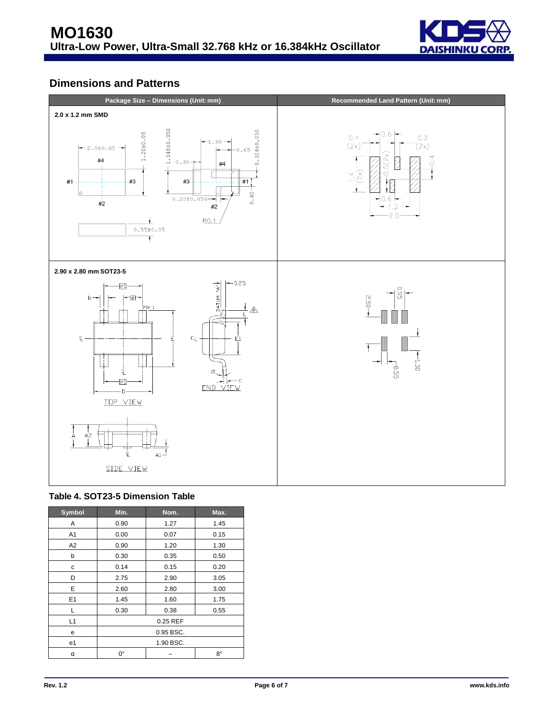

## **Dimensions and Patterns**





| Symbol         | Min.      | Nom.     | Max. |  |
|----------------|-----------|----------|------|--|
| A              | 0.90      | 1.27     | 1.45 |  |
| A1             | 0.00      | 0.07     | 0.15 |  |
| A2             | 0.90      | 1.20     | 1.30 |  |
| b              | 0.30      | 0.35     | 0.50 |  |
| с              | 0.14      | 0.15     | 0.20 |  |
| D              | 2.75      | 2.90     | 3.05 |  |
| E              | 2.60      | 2.80     | 3.00 |  |
| E <sub>1</sub> | 1.45      | 1.60     | 1.75 |  |
| L              | 0.30      | 0.38     | 0.55 |  |
| L1             |           | 0.25 REF |      |  |
| е              | 0.95 BSC. |          |      |  |
| e1             | 1.90 BSC. |          |      |  |
| α              | 0°        |          | 8°   |  |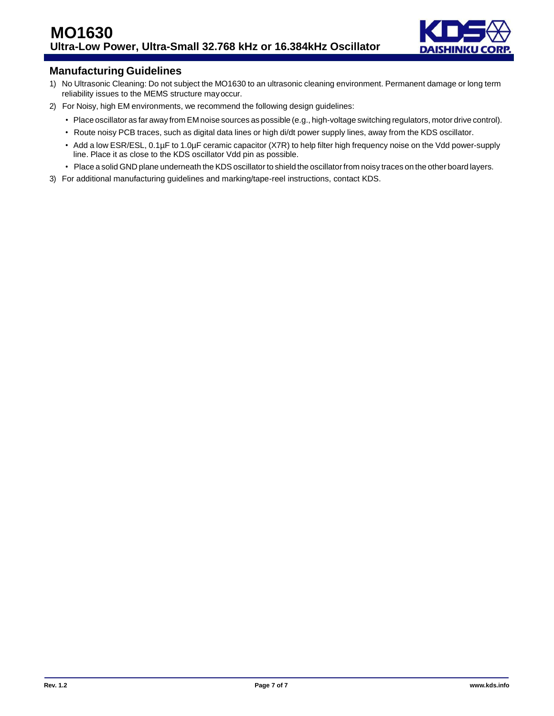

## **Manufacturing Guidelines**

- 1) No Ultrasonic Cleaning: Do not subject the MO1630 to an ultrasonic cleaning environment. Permanent damage or long term reliability issues to the MEMS structure mayoccur.
- 2) For Noisy, high EM environments, we recommend the following design guidelines:
	- Place oscillator as far away from EM noise sources as possible (e.g., high-voltage switching regulators, motor drive control).
	- Route noisy PCB traces, such as digital data lines or high di/dt power supply lines, away from the KDS oscillator.
	- Add a low ESR/ESL, 0.1µF to 1.0µF ceramic capacitor (X7R) to help filter high frequency noise on the Vdd power-supply line. Place it as close to the KDS oscillator Vdd pin as possible.
	- Place a solid GND plane underneath the KDS oscillator to shield the oscillator from noisy traces on the other board layers.
- 3) For additional manufacturing guidelines and marking/tape-reel instructions, contact KDS.